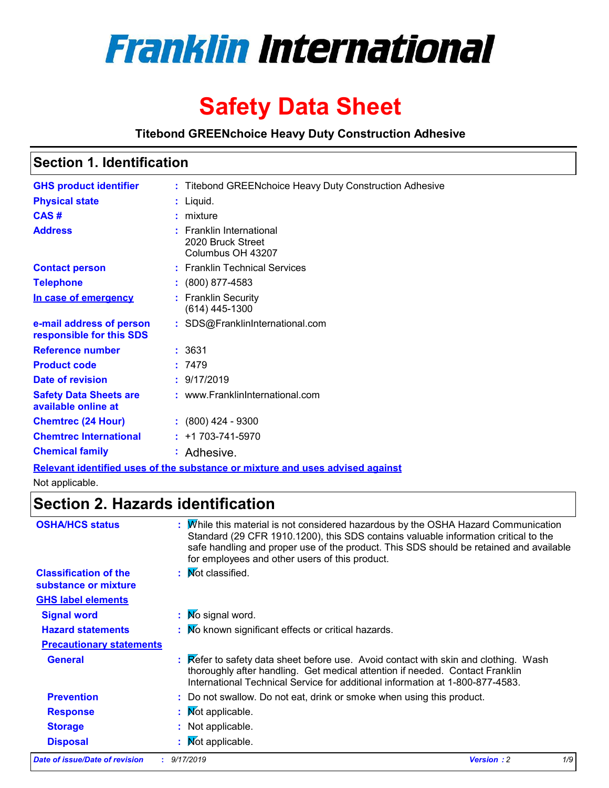

# **Safety Data Sheet**

## **Titebond GREENchoice Heavy Duty Construction Adhesive**

## **Section 1. Identification**

| <b>GHS product identifier</b>                        | : Titebond GREENchoice Heavy Duty Construction Adhesive                       |
|------------------------------------------------------|-------------------------------------------------------------------------------|
| <b>Physical state</b>                                | : Liquid.                                                                     |
| CAS#                                                 | $:$ mixture                                                                   |
| <b>Address</b>                                       | : Franklin International<br>2020 Bruck Street<br>Columbus OH 43207            |
| <b>Contact person</b>                                | : Franklin Technical Services                                                 |
| <b>Telephone</b>                                     | $: (800) 877-4583$                                                            |
| In case of emergency                                 | : Franklin Security<br>$(614)$ 445-1300                                       |
| e-mail address of person<br>responsible for this SDS | : SDS@FranklinInternational.com                                               |
| <b>Reference number</b>                              | : 3631                                                                        |
| <b>Product code</b>                                  | :7479                                                                         |
| Date of revision                                     | : 9/17/2019                                                                   |
| <b>Safety Data Sheets are</b><br>available online at | : www.FranklinInternational.com                                               |
| <b>Chemtrec (24 Hour)</b>                            | $: (800)$ 424 - 9300                                                          |
| <b>Chemtrec International</b>                        | $: +1703 - 741 - 5970$                                                        |
| <b>Chemical family</b>                               | : Adhesive.                                                                   |
|                                                      | Relevant identified uses of the substance or mixture and uses advised against |

Not applicable.

# **Section 2. Hazards identification**

| <b>OSHA/HCS status</b>                               | : Mhile this material is not considered hazardous by the OSHA Hazard Communication<br>Standard (29 CFR 1910.1200), this SDS contains valuable information critical to the<br>safe handling and proper use of the product. This SDS should be retained and available<br>for employees and other users of this product. |
|------------------------------------------------------|-----------------------------------------------------------------------------------------------------------------------------------------------------------------------------------------------------------------------------------------------------------------------------------------------------------------------|
| <b>Classification of the</b><br>substance or mixture | : Mot classified.                                                                                                                                                                                                                                                                                                     |
| <b>GHS label elements</b>                            |                                                                                                                                                                                                                                                                                                                       |
| <b>Signal word</b>                                   | : Mo signal word.                                                                                                                                                                                                                                                                                                     |
| <b>Hazard statements</b>                             | : Mo known significant effects or critical hazards.                                                                                                                                                                                                                                                                   |
| <b>Precautionary statements</b>                      |                                                                                                                                                                                                                                                                                                                       |
| <b>General</b>                                       | <b>Example 1</b> : Refer to safety data sheet before use. Avoid contact with skin and clothing. Wash<br>thoroughly after handling. Get medical attention if needed. Contact Franklin<br>International Technical Service for additional information at 1-800-877-4583.                                                 |
| <b>Prevention</b>                                    | : Do not swallow. Do not eat, drink or smoke when using this product.                                                                                                                                                                                                                                                 |
| <b>Response</b>                                      | : Mot applicable.                                                                                                                                                                                                                                                                                                     |
| <b>Storage</b>                                       | : Not applicable.                                                                                                                                                                                                                                                                                                     |
| <b>Disposal</b>                                      | <b>Not applicable.</b>                                                                                                                                                                                                                                                                                                |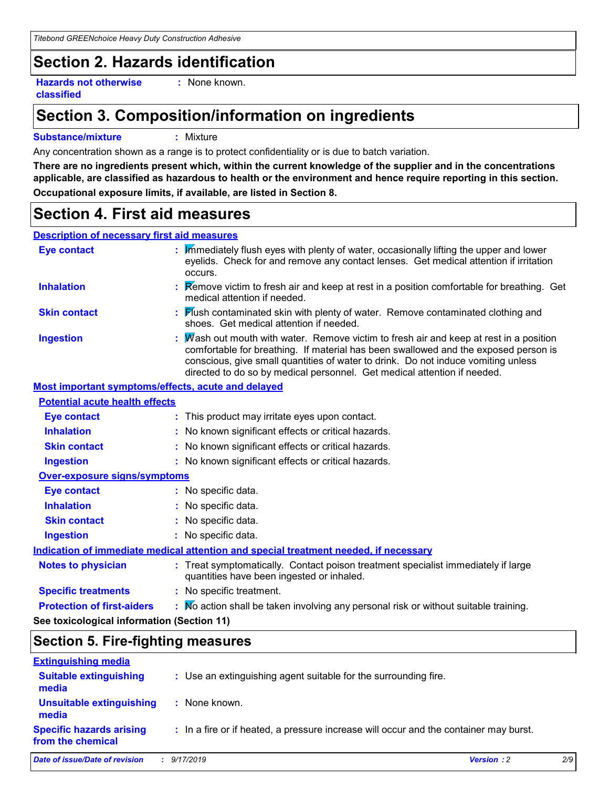# **Section 2. Hazards identification**

**Hazards not otherwise classified**

**:** None known.

# **Section 3. Composition/information on ingredients**

#### **Substance/mixture :** Mixture

Any concentration shown as a range is to protect confidentiality or is due to batch variation.

**There are no ingredients present which, within the current knowledge of the supplier and in the concentrations applicable, are classified as hazardous to health or the environment and hence require reporting in this section. Occupational exposure limits, if available, are listed in Section 8.**

# **Section 4. First aid measures**

## **Description of necessary first aid measures**

| <b>Eye contact</b>                                 | : Immediately flush eyes with plenty of water, occasionally lifting the upper and lower<br>eyelids. Check for and remove any contact lenses. Get medical attention if irritation<br>occurs.                                                                                                                                                  |  |  |
|----------------------------------------------------|----------------------------------------------------------------------------------------------------------------------------------------------------------------------------------------------------------------------------------------------------------------------------------------------------------------------------------------------|--|--|
| <b>Inhalation</b>                                  | Remove victim to fresh air and keep at rest in a position comfortable for breathing. Get<br>medical attention if needed.                                                                                                                                                                                                                     |  |  |
| <b>Skin contact</b>                                | : Flush contaminated skin with plenty of water. Remove contaminated clothing and<br>shoes. Get medical attention if needed.                                                                                                                                                                                                                  |  |  |
| <b>Ingestion</b>                                   | Mash out mouth with water. Remove victim to fresh air and keep at rest in a position<br>comfortable for breathing. If material has been swallowed and the exposed person is<br>conscious, give small quantities of water to drink. Do not induce vomiting unless<br>directed to do so by medical personnel. Get medical attention if needed. |  |  |
| Most important symptoms/effects, acute and delayed |                                                                                                                                                                                                                                                                                                                                              |  |  |
| <b>Potential acute health effects</b>              |                                                                                                                                                                                                                                                                                                                                              |  |  |
| <b>Eye contact</b>                                 | : This product may irritate eyes upon contact.                                                                                                                                                                                                                                                                                               |  |  |
| <b>Inhalation</b>                                  | : No known significant effects or critical hazards.                                                                                                                                                                                                                                                                                          |  |  |
| <b>Skin contact</b>                                | : No known significant effects or critical hazards.                                                                                                                                                                                                                                                                                          |  |  |
| <b>Ingestion</b>                                   | : No known significant effects or critical hazards.                                                                                                                                                                                                                                                                                          |  |  |
| Over-exposure signs/symptoms                       |                                                                                                                                                                                                                                                                                                                                              |  |  |
| <b>Eye contact</b>                                 | : No specific data.                                                                                                                                                                                                                                                                                                                          |  |  |
| <b>Inhalation</b>                                  | : No specific data.                                                                                                                                                                                                                                                                                                                          |  |  |
| <b>Skin contact</b>                                | : No specific data.                                                                                                                                                                                                                                                                                                                          |  |  |
| <b>Ingestion</b>                                   | : No specific data.                                                                                                                                                                                                                                                                                                                          |  |  |
|                                                    | Indication of immediate medical attention and special treatment needed, if necessary                                                                                                                                                                                                                                                         |  |  |
| <b>Notes to physician</b>                          | : Treat symptomatically. Contact poison treatment specialist immediately if large<br>quantities have been ingested or inhaled.                                                                                                                                                                                                               |  |  |
| <b>Specific treatments</b>                         | : No specific treatment.                                                                                                                                                                                                                                                                                                                     |  |  |
| <b>Protection of first-aiders</b>                  | : Mo action shall be taken involving any personal risk or without suitable training.                                                                                                                                                                                                                                                         |  |  |
| See toxicological information (Section 11)         |                                                                                                                                                                                                                                                                                                                                              |  |  |

## **Section 5. Fire-fighting measures**

| <b>Extinguishing media</b>                           |                                                                                       |                   |     |
|------------------------------------------------------|---------------------------------------------------------------------------------------|-------------------|-----|
| <b>Suitable extinguishing</b><br>media               | : Use an extinguishing agent suitable for the surrounding fire.                       |                   |     |
| <b>Unsuitable extinguishing</b><br>media             | : None known.                                                                         |                   |     |
| <b>Specific hazards arising</b><br>from the chemical | : In a fire or if heated, a pressure increase will occur and the container may burst. |                   |     |
| Date of issue/Date of revision                       | 9/17/2019                                                                             | <b>Version: 2</b> | 2/9 |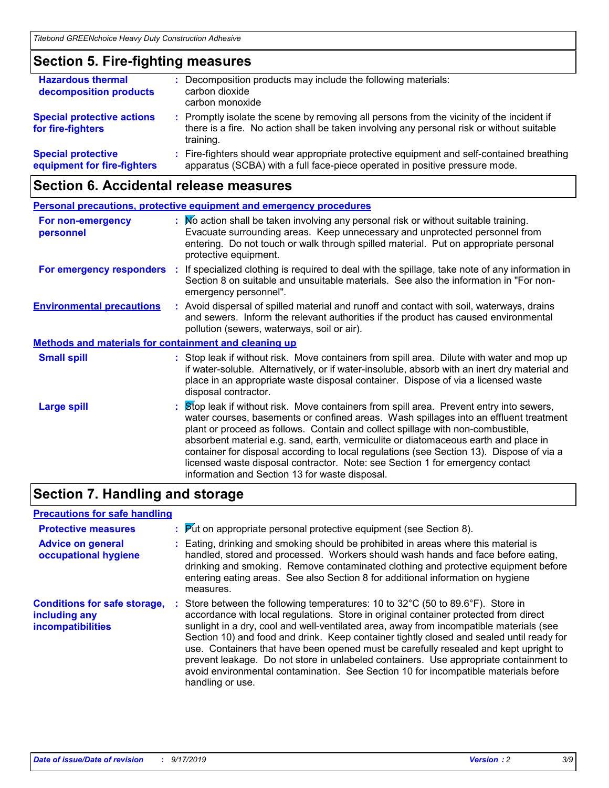## **Section 5. Fire-fighting measures**

| <b>Hazardous thermal</b><br>decomposition products       | : Decomposition products may include the following materials:<br>carbon dioxide<br>carbon monoxide                                                                                                  |
|----------------------------------------------------------|-----------------------------------------------------------------------------------------------------------------------------------------------------------------------------------------------------|
| <b>Special protective actions</b><br>for fire-fighters   | : Promptly isolate the scene by removing all persons from the vicinity of the incident if<br>there is a fire. No action shall be taken involving any personal risk or without suitable<br>training. |
| <b>Special protective</b><br>equipment for fire-fighters | : Fire-fighters should wear appropriate protective equipment and self-contained breathing<br>apparatus (SCBA) with a full face-piece operated in positive pressure mode.                            |

## **Section 6. Accidental release measures**

|                                                              | <b>Personal precautions, protective equipment and emergency procedures</b>                                                                                                                                                                                                                                                                                                                                                                                                                                                                                                                 |  |  |
|--------------------------------------------------------------|--------------------------------------------------------------------------------------------------------------------------------------------------------------------------------------------------------------------------------------------------------------------------------------------------------------------------------------------------------------------------------------------------------------------------------------------------------------------------------------------------------------------------------------------------------------------------------------------|--|--|
| For non-emergency<br>personnel                               | : No action shall be taken involving any personal risk or without suitable training.<br>Evacuate surrounding areas. Keep unnecessary and unprotected personnel from<br>entering. Do not touch or walk through spilled material. Put on appropriate personal<br>protective equipment.                                                                                                                                                                                                                                                                                                       |  |  |
|                                                              | For emergency responders : If specialized clothing is required to deal with the spillage, take note of any information in<br>Section 8 on suitable and unsuitable materials. See also the information in "For non-<br>emergency personnel".                                                                                                                                                                                                                                                                                                                                                |  |  |
| <b>Environmental precautions</b>                             | : Avoid dispersal of spilled material and runoff and contact with soil, waterways, drains<br>and sewers. Inform the relevant authorities if the product has caused environmental<br>pollution (sewers, waterways, soil or air).                                                                                                                                                                                                                                                                                                                                                            |  |  |
| <b>Methods and materials for containment and cleaning up</b> |                                                                                                                                                                                                                                                                                                                                                                                                                                                                                                                                                                                            |  |  |
| <b>Small spill</b>                                           | : Stop leak if without risk. Move containers from spill area. Dilute with water and mop up<br>if water-soluble. Alternatively, or if water-insoluble, absorb with an inert dry material and<br>place in an appropriate waste disposal container. Dispose of via a licensed waste<br>disposal contractor.                                                                                                                                                                                                                                                                                   |  |  |
| <b>Large spill</b>                                           | : Stop leak if without risk. Move containers from spill area. Prevent entry into sewers,<br>water courses, basements or confined areas. Wash spillages into an effluent treatment<br>plant or proceed as follows. Contain and collect spillage with non-combustible,<br>absorbent material e.g. sand, earth, vermiculite or diatomaceous earth and place in<br>container for disposal according to local regulations (see Section 13). Dispose of via a<br>licensed waste disposal contractor. Note: see Section 1 for emergency contact<br>information and Section 13 for waste disposal. |  |  |

# **Section 7. Handling and storage**

## **Precautions for safe handling**

| <b>Protective measures</b><br><b>Advice on general</b><br>occupational hygiene   | : Put on appropriate personal protective equipment (see Section 8).<br>: Eating, drinking and smoking should be prohibited in areas where this material is<br>handled, stored and processed. Workers should wash hands and face before eating,<br>drinking and smoking. Remove contaminated clothing and protective equipment before<br>entering eating areas. See also Section 8 for additional information on hygiene<br>measures.                                                                                                                                                                                                                     |
|----------------------------------------------------------------------------------|----------------------------------------------------------------------------------------------------------------------------------------------------------------------------------------------------------------------------------------------------------------------------------------------------------------------------------------------------------------------------------------------------------------------------------------------------------------------------------------------------------------------------------------------------------------------------------------------------------------------------------------------------------|
| <b>Conditions for safe storage,</b><br>including any<br><b>incompatibilities</b> | Store between the following temperatures: 10 to 32°C (50 to 89.6°F). Store in<br>accordance with local regulations. Store in original container protected from direct<br>sunlight in a dry, cool and well-ventilated area, away from incompatible materials (see<br>Section 10) and food and drink. Keep container tightly closed and sealed until ready for<br>use. Containers that have been opened must be carefully resealed and kept upright to<br>prevent leakage. Do not store in unlabeled containers. Use appropriate containment to<br>avoid environmental contamination. See Section 10 for incompatible materials before<br>handling or use. |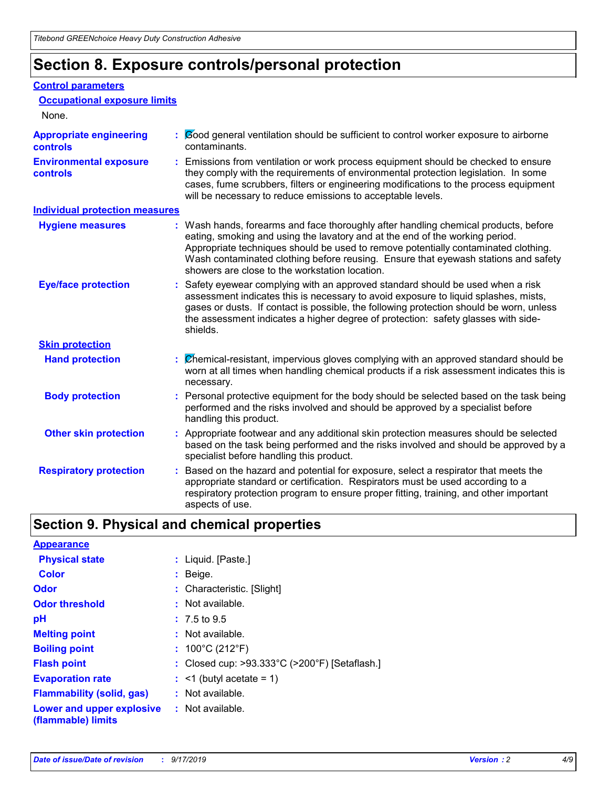# **Section 8. Exposure controls/personal protection**

#### **Control parameters**

| <b>Occupational exposure limits</b><br>None.      |                                                                                                                                                                                                                                                                                                                                                                                                   |
|---------------------------------------------------|---------------------------------------------------------------------------------------------------------------------------------------------------------------------------------------------------------------------------------------------------------------------------------------------------------------------------------------------------------------------------------------------------|
|                                                   |                                                                                                                                                                                                                                                                                                                                                                                                   |
| <b>Appropriate engineering</b><br><b>controls</b> | : Cood general ventilation should be sufficient to control worker exposure to airborne<br>contaminants.                                                                                                                                                                                                                                                                                           |
| <b>Environmental exposure</b><br><b>controls</b>  | : Emissions from ventilation or work process equipment should be checked to ensure<br>they comply with the requirements of environmental protection legislation. In some<br>cases, fume scrubbers, filters or engineering modifications to the process equipment<br>will be necessary to reduce emissions to acceptable levels.                                                                   |
| <b>Individual protection measures</b>             |                                                                                                                                                                                                                                                                                                                                                                                                   |
| <b>Hygiene measures</b>                           | : Wash hands, forearms and face thoroughly after handling chemical products, before<br>eating, smoking and using the lavatory and at the end of the working period.<br>Appropriate techniques should be used to remove potentially contaminated clothing.<br>Wash contaminated clothing before reusing. Ensure that eyewash stations and safety<br>showers are close to the workstation location. |
| <b>Eye/face protection</b>                        | : Safety eyewear complying with an approved standard should be used when a risk<br>assessment indicates this is necessary to avoid exposure to liquid splashes, mists,<br>gases or dusts. If contact is possible, the following protection should be worn, unless<br>the assessment indicates a higher degree of protection: safety glasses with side-<br>shields.                                |
| <b>Skin protection</b>                            |                                                                                                                                                                                                                                                                                                                                                                                                   |
| <b>Hand protection</b>                            | Chemical-resistant, impervious gloves complying with an approved standard should be<br>worn at all times when handling chemical products if a risk assessment indicates this is<br>necessary.                                                                                                                                                                                                     |
| <b>Body protection</b>                            | : Personal protective equipment for the body should be selected based on the task being<br>performed and the risks involved and should be approved by a specialist before<br>handling this product.                                                                                                                                                                                               |
| <b>Other skin protection</b>                      | : Appropriate footwear and any additional skin protection measures should be selected<br>based on the task being performed and the risks involved and should be approved by a<br>specialist before handling this product.                                                                                                                                                                         |
| <b>Respiratory protection</b>                     | Based on the hazard and potential for exposure, select a respirator that meets the<br>appropriate standard or certification. Respirators must be used according to a<br>respiratory protection program to ensure proper fitting, training, and other important<br>aspects of use.                                                                                                                 |

# **Section 9. Physical and chemical properties**

| <b>Appearance</b>                                                       |                                               |
|-------------------------------------------------------------------------|-----------------------------------------------|
| <b>Physical state</b>                                                   | : Liquid. [Paste.]                            |
| <b>Color</b>                                                            | $:$ Beige.                                    |
| <b>Odor</b>                                                             | : Characteristic. [Slight]                    |
| <b>Odor threshold</b>                                                   | : Not available.                              |
| рH                                                                      | $: 7.5 \text{ to } 9.5$                       |
| <b>Melting point</b>                                                    | $:$ Not available.                            |
| <b>Boiling point</b>                                                    | : $100^{\circ}$ C (212 $^{\circ}$ F)          |
| <b>Flash point</b>                                                      | : Closed cup: >93.333°C (>200°F) [Setaflash.] |
| <b>Evaporation rate</b>                                                 | $:$ <1 (butyl acetate = 1)                    |
| <b>Flammability (solid, gas)</b>                                        | : Not available.                              |
| <b>Lower and upper explosive : Not available.</b><br>(flammable) limits |                                               |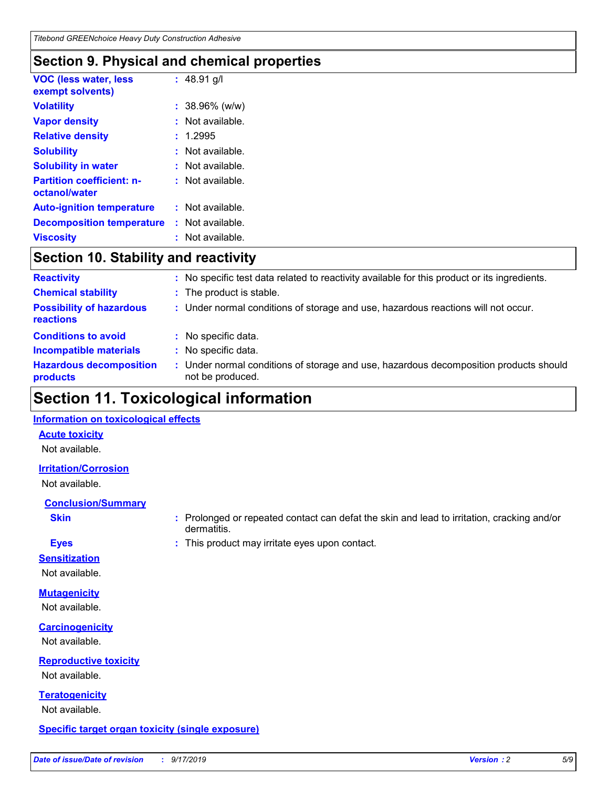# **Section 9. Physical and chemical properties**

| <b>VOC (less water, less</b><br>exempt solvents)  | : $48.91$ g/l     |
|---------------------------------------------------|-------------------|
| <b>Volatility</b>                                 | $: 38.96\%$ (w/w) |
| <b>Vapor density</b>                              | : Not available.  |
| <b>Relative density</b>                           | 1.2995            |
| <b>Solubility</b>                                 | Not available.    |
| <b>Solubility in water</b>                        | Not available.    |
| <b>Partition coefficient: n-</b><br>octanol/water | : Not available.  |
| <b>Auto-ignition temperature</b>                  | : Not available.  |
| <b>Decomposition temperature</b>                  | : Not available.  |
| <b>Viscosity</b>                                  | : Not available.  |

# **Section 10. Stability and reactivity**

| <b>Reactivity</b>                            |    | : No specific test data related to reactivity available for this product or its ingredients.            |
|----------------------------------------------|----|---------------------------------------------------------------------------------------------------------|
| <b>Chemical stability</b>                    |    | : The product is stable.                                                                                |
| <b>Possibility of hazardous</b><br>reactions |    | : Under normal conditions of storage and use, hazardous reactions will not occur.                       |
| <b>Conditions to avoid</b>                   |    | : No specific data.                                                                                     |
| <b>Incompatible materials</b>                |    | : No specific data.                                                                                     |
| <b>Hazardous decomposition</b><br>products   | ÷. | Under normal conditions of storage and use, hazardous decomposition products should<br>not be produced. |

# **Section 11. Toxicological information**

## **Information on toxicological effects**

## **Acute toxicity**

Not available.

## **Irritation/Corrosion**

Not available.

## **Conclusion/Summary**

**Skin Example 3 :** Prolonged or repeated contact can defat the skin and lead to irritation, cracking and/or dermatitis.

- 
- **Eyes :** This product may irritate eyes upon contact.

## **Sensitization**

Not available.

# **Mutagenicity**

Not available.

## **Carcinogenicity**

Not available.

## **Reproductive toxicity**

Not available.

**Teratogenicity** Not available.

## **Specific target organ toxicity (single exposure)**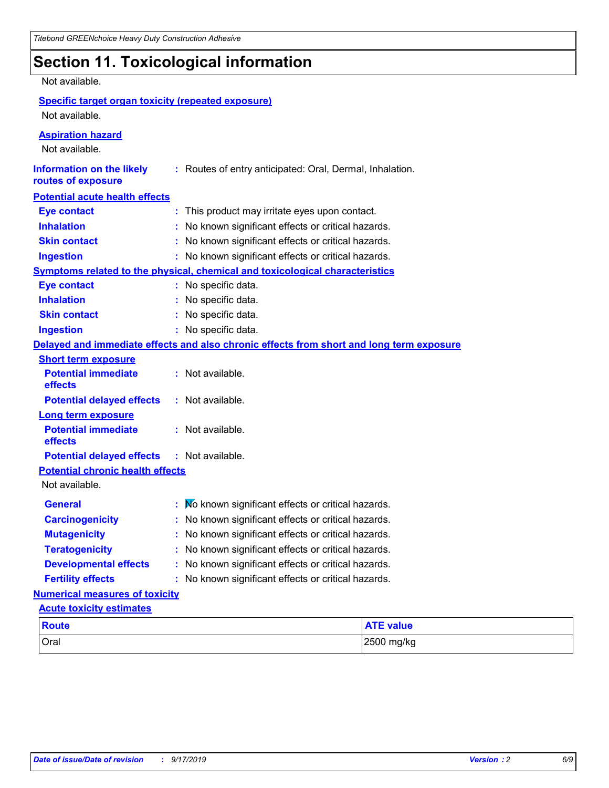# **Section 11. Toxicological information**

## Not available.

## **Specific target organ toxicity (repeated exposure)** Not available.

#### **Aspiration hazard**

Not available.

| <b>Information on the likely</b><br>routes of exposure |                                                   | : Routes of entry anticipated: Oral, Dermal, Inhalation.                                 |                  |  |
|--------------------------------------------------------|---------------------------------------------------|------------------------------------------------------------------------------------------|------------------|--|
| <b>Potential acute health effects</b>                  |                                                   |                                                                                          |                  |  |
| <b>Eye contact</b>                                     |                                                   | : This product may irritate eyes upon contact.                                           |                  |  |
| <b>Inhalation</b>                                      |                                                   | No known significant effects or critical hazards.                                        |                  |  |
| <b>Skin contact</b>                                    |                                                   | No known significant effects or critical hazards.                                        |                  |  |
| <b>Ingestion</b>                                       |                                                   | : No known significant effects or critical hazards.                                      |                  |  |
|                                                        |                                                   | <b>Symptoms related to the physical, chemical and toxicological characteristics</b>      |                  |  |
| <b>Eye contact</b>                                     |                                                   | : No specific data.                                                                      |                  |  |
| <b>Inhalation</b>                                      |                                                   | : No specific data.                                                                      |                  |  |
| <b>Skin contact</b>                                    |                                                   | No specific data.<br>t.                                                                  |                  |  |
| <b>Ingestion</b>                                       |                                                   | : No specific data.                                                                      |                  |  |
|                                                        |                                                   | Delayed and immediate effects and also chronic effects from short and long term exposure |                  |  |
| <b>Short term exposure</b>                             |                                                   |                                                                                          |                  |  |
| <b>Potential immediate</b><br>effects                  |                                                   | : Not available.                                                                         |                  |  |
| <b>Potential delayed effects</b>                       |                                                   | : Not available.                                                                         |                  |  |
| <b>Long term exposure</b>                              |                                                   |                                                                                          |                  |  |
| <b>Potential immediate</b><br>effects                  |                                                   | : Not available.                                                                         |                  |  |
| <b>Potential delayed effects</b>                       |                                                   | : Not available.                                                                         |                  |  |
| <b>Potential chronic health effects</b>                |                                                   |                                                                                          |                  |  |
| Not available.                                         |                                                   |                                                                                          |                  |  |
| <b>General</b>                                         |                                                   | No known significant effects or critical hazards.                                        |                  |  |
| <b>Carcinogenicity</b>                                 |                                                   | : No known significant effects or critical hazards.                                      |                  |  |
| <b>Mutagenicity</b>                                    |                                                   | No known significant effects or critical hazards.                                        |                  |  |
| <b>Teratogenicity</b>                                  |                                                   | No known significant effects or critical hazards.<br>t.                                  |                  |  |
| <b>Developmental effects</b>                           |                                                   | No known significant effects or critical hazards.                                        |                  |  |
| <b>Fertility effects</b>                               | No known significant effects or critical hazards. |                                                                                          |                  |  |
| <b>Numerical measures of toxicity</b>                  |                                                   |                                                                                          |                  |  |
| <b>Acute toxicity estimates</b>                        |                                                   |                                                                                          |                  |  |
| <b>Route</b>                                           |                                                   |                                                                                          | <b>ATE value</b> |  |
| Oral                                                   |                                                   |                                                                                          | 2500 mg/kg       |  |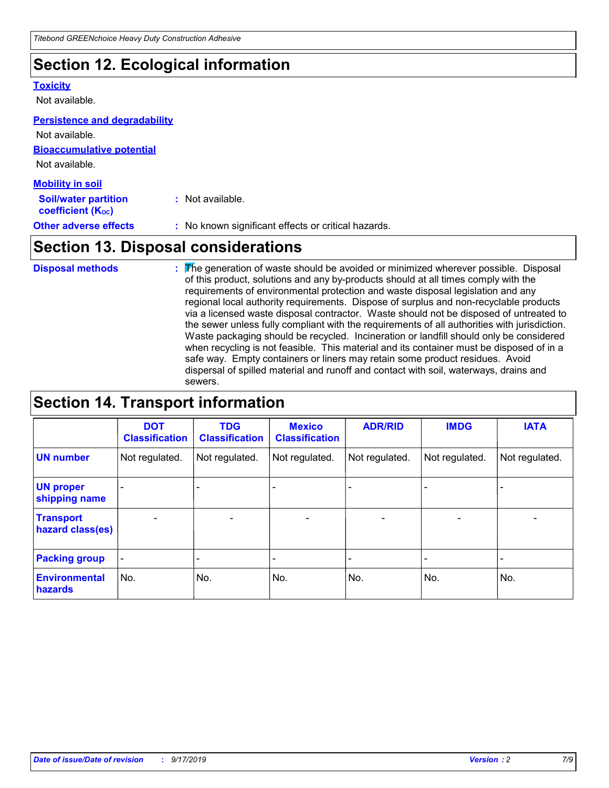# **Section 12. Ecological information**

#### **Toxicity**

Not available.

#### **Persistence and degradability**

**Bioaccumulative potential** Not available. Not available.

| <b>Mobility in soil</b>                                 |                                                     |
|---------------------------------------------------------|-----------------------------------------------------|
| <b>Soil/water partition</b><br><b>coefficient (Koc)</b> | : Not available.                                    |
| <b>Other adverse effects</b>                            | : No known significant effects or critical hazards. |

# **Section 13. Disposal considerations**

The generation of waste should be avoided or minimized wherever possible. Disposal of this product, solutions and any by-products should at all times comply with the requirements of environmental protection and waste disposal legislation and any regional local authority requirements. Dispose of surplus and non-recyclable products via a licensed waste disposal contractor. Waste should not be disposed of untreated to the sewer unless fully compliant with the requirements of all authorities with jurisdiction. Waste packaging should be recycled. Incineration or landfill should only be considered when recycling is not feasible. This material and its container must be disposed of in a safe way. Empty containers or liners may retain some product residues. Avoid dispersal of spilled material and runoff and contact with soil, waterways, drains and sewers. **Disposal methods :**

# **Section 14. Transport information**

|                                      | <b>DOT</b><br><b>Classification</b> | <b>TDG</b><br><b>Classification</b> | <b>Mexico</b><br><b>Classification</b> | <b>ADR/RID</b>               | <b>IMDG</b>              | <b>IATA</b>              |
|--------------------------------------|-------------------------------------|-------------------------------------|----------------------------------------|------------------------------|--------------------------|--------------------------|
| <b>UN number</b>                     | Not regulated.                      | Not regulated.                      | Not regulated.                         | Not regulated.               | Not regulated.           | Not regulated.           |
| <b>UN proper</b><br>shipping name    |                                     |                                     |                                        |                              |                          |                          |
| <b>Transport</b><br>hazard class(es) | $\overline{\phantom{0}}$            | $\overline{\phantom{0}}$            | $\qquad \qquad$                        | $\qquad \qquad \blacksquare$ | $\overline{\phantom{0}}$ | $\overline{\phantom{0}}$ |
| <b>Packing group</b>                 | $\blacksquare$                      | -                                   |                                        | -                            |                          | -                        |
| <b>Environmental</b><br>hazards      | No.                                 | No.                                 | No.                                    | No.                          | No.                      | No.                      |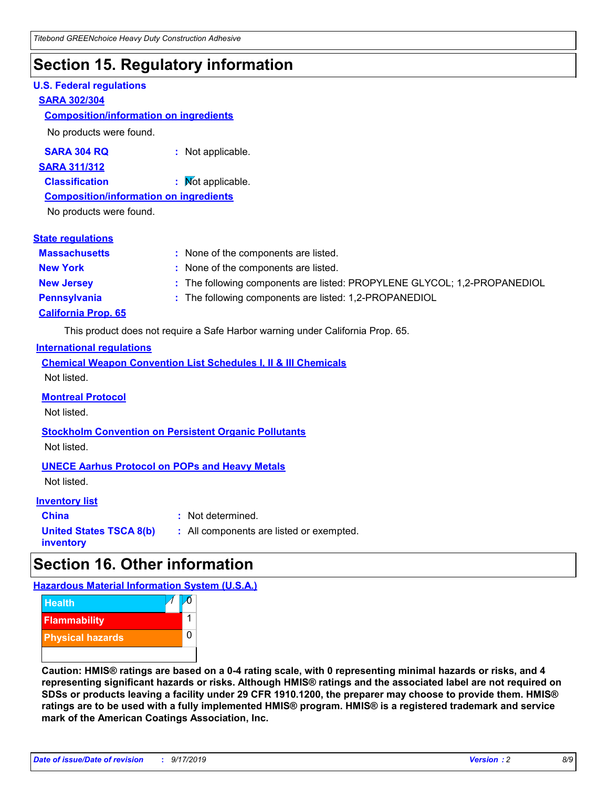# **Section 15. Regulatory information**

## **U.S. Federal regulations**

#### **SARA 302/304**

#### **Composition/information on ingredients**

No products were found.

**SARA 304 RQ :** Not applicable.

**SARA 311/312**

**Classification :** Not applicable.

**Composition/information on ingredients**

No products were found.

| <b>State requlations</b>   |                                                                          |
|----------------------------|--------------------------------------------------------------------------|
| <b>Massachusetts</b>       | : None of the components are listed.                                     |
| <b>New York</b>            | : None of the components are listed.                                     |
| <b>New Jersey</b>          | : The following components are listed: PROPYLENE GLYCOL; 1,2-PROPANEDIOL |
| <b>Pennsylvania</b>        | : The following components are listed: 1,2-PROPANEDIOL                   |
| <b>California Prop. 65</b> |                                                                          |

This product does not require a Safe Harbor warning under California Prop. 65.

## **International regulations**

|             | <b>Chemical Weapon Convention List Schedules I, II &amp; III Chemicals</b> |  |  |
|-------------|----------------------------------------------------------------------------|--|--|
| Not listed. |                                                                            |  |  |

#### **Montreal Protocol**

Not listed.

**Stockholm Convention on Persistent Organic Pollutants** Not listed.

## **UNECE Aarhus Protocol on POPs and Heavy Metals**

Not listed.

## **Inventory list**

**China :** Not determined. **United States TSCA 8(b) inventory :** All components are listed or exempted.

# **Section 16. Other information**

**Hazardous Material Information System (U.S.A.)**



**Caution: HMIS® ratings are based on a 0-4 rating scale, with 0 representing minimal hazards or risks, and 4 representing significant hazards or risks. Although HMIS® ratings and the associated label are not required on SDSs or products leaving a facility under 29 CFR 1910.1200, the preparer may choose to provide them. HMIS® ratings are to be used with a fully implemented HMIS® program. HMIS® is a registered trademark and service mark of the American Coatings Association, Inc.**